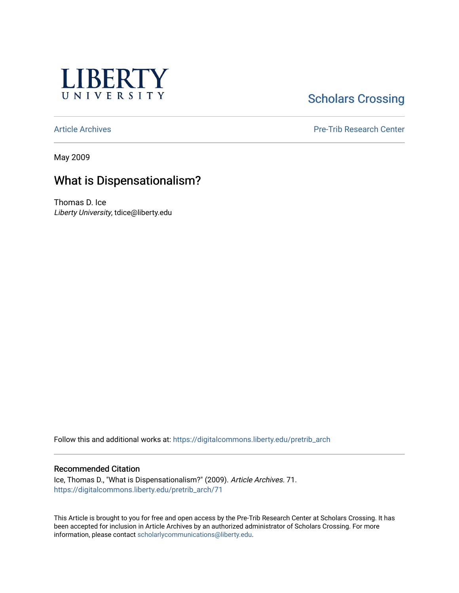

# **Scholars Crossing**

[Article Archives](https://digitalcommons.liberty.edu/pretrib_arch) [Pre-Trib Research Center](https://digitalcommons.liberty.edu/pretrib) 

May 2009

# What is Dispensationalism?

Thomas D. Ice Liberty University, tdice@liberty.edu

Follow this and additional works at: [https://digitalcommons.liberty.edu/pretrib\\_arch](https://digitalcommons.liberty.edu/pretrib_arch?utm_source=digitalcommons.liberty.edu%2Fpretrib_arch%2F71&utm_medium=PDF&utm_campaign=PDFCoverPages) 

#### Recommended Citation

Ice, Thomas D., "What is Dispensationalism?" (2009). Article Archives. 71. [https://digitalcommons.liberty.edu/pretrib\\_arch/71](https://digitalcommons.liberty.edu/pretrib_arch/71?utm_source=digitalcommons.liberty.edu%2Fpretrib_arch%2F71&utm_medium=PDF&utm_campaign=PDFCoverPages)

This Article is brought to you for free and open access by the Pre-Trib Research Center at Scholars Crossing. It has been accepted for inclusion in Article Archives by an authorized administrator of Scholars Crossing. For more information, please contact [scholarlycommunications@liberty.edu](mailto:scholarlycommunications@liberty.edu).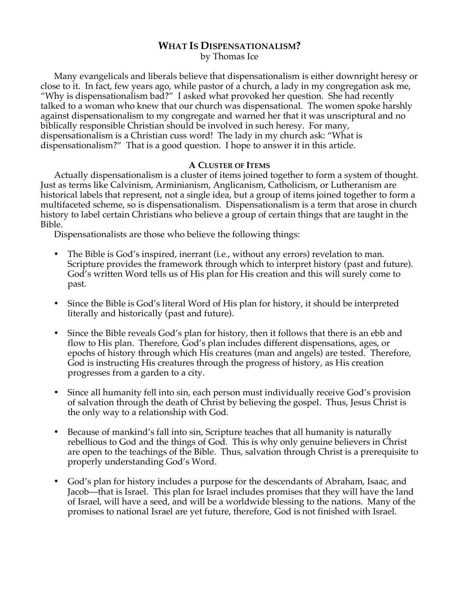## **WHAT IS DISPENSATIONALISM?**

by Thomas Ice

Many evangelicals and liberals believe that dispensationalism is either downright heresy or close to it. In fact, few years ago, while pastor of a church, a lady in my congregation ask me, "Why is dispensationalism bad?" I asked what provoked her question. She had recently talked to a woman who knew that our church was dispensational. The women spoke harshly against dispensationalism to my congregate and warned her that it was unscriptural and no biblically responsible Christian should be involved in such heresy. For many, dispensationalism is a Christian cuss word! The lady in my church ask: "What is dispensationalism?" That is a good question. I hope to answer it in this article.

### **A CLUSTER OF ITEMS**

Actually dispensationalism is a cluster of items joined together to form a system of thought. Just as terms like Calvinism, Arminianism, Anglicanism, Catholicism, or Lutheranism are historical labels that represent, not a single idea, but a group of items joined together to form a multifaceted scheme, so is dispensationalism. Dispensationalism is a term that arose in church history to label certain Christians who believe a group of certain things that are taught in the Bible.

Dispensationalists are those who believe the following things:

- The Bible is God's inspired, inerrant (i.e., without any errors) revelation to man. Scripture provides the framework through which to interpret history (past and future). God's written Word tells us of His plan for His creation and this will surely come to past.
- Since the Bible is God's literal Word of His plan for history, it should be interpreted literally and historically (past and future).
- Since the Bible reveals God's plan for history, then it follows that there is an ebb and flow to His plan. Therefore, God's plan includes different dispensations, ages, or epochs of history through which His creatures (man and angels) are tested. Therefore, God is instructing His creatures through the progress of history, as His creation progresses from a garden to a city.
- Since all humanity fell into sin, each person must individually receive God's provision of salvation through the death of Christ by believing the gospel. Thus, Jesus Christ is the only way to a relationship with God.
- Because of mankind's fall into sin, Scripture teaches that all humanity is naturally rebellious to God and the things of God. This is why only genuine believers in Christ are open to the teachings of the Bible. Thus, salvation through Christ is a prerequisite to properly understanding God's Word.
- God's plan for history includes a purpose for the descendants of Abraham, Isaac, and Jacob—that is Israel. This plan for Israel includes promises that they will have the land of Israel, will have a seed, and will be a worldwide blessing to the nations. Many of the promises to national Israel are yet future, therefore, God is not finished with Israel.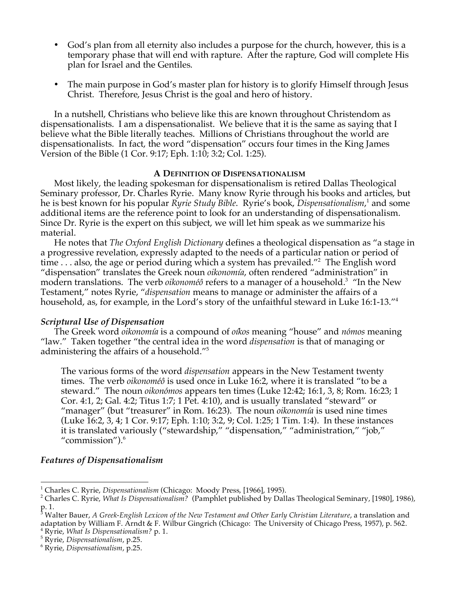- God's plan from all eternity also includes a purpose for the church, however, this is a temporary phase that will end with rapture. After the rapture, God will complete His plan for Israel and the Gentiles.
- The main purpose in God's master plan for history is to glorify Himself through Jesus Christ. Therefore, Jesus Christ is the goal and hero of history.

In a nutshell, Christians who believe like this are known throughout Christendom as dispensationalists. I am a dispensationalist. We believe that it is the same as saying that I believe what the Bible literally teaches. Millions of Christians throughout the world are dispensationalists. In fact, the word "dispensation" occurs four times in the King James Version of the Bible (1 Cor. 9:17; Eph. 1:10; 3:2; Col. 1:25).

### **A DEFINITION OF DISPENSATIONALISM**

Most likely, the leading spokesman for dispensationalism is retired Dallas Theological Seminary professor, Dr. Charles Ryrie. Many know Ryrie through his books and articles, but he is best known for his popular *Ryrie Study Bible*. Ryrie's book, *Dispensationalism*, <sup>1</sup> and some additional items are the reference point to look for an understanding of dispensationalism. Since Dr. Ryrie is the expert on this subject, we will let him speak as we summarize his material.

He notes that *The Oxford English Dictionary* defines a theological dispensation as "a stage in a progressive revelation, expressly adapted to the needs of a particular nation or period of time . . . also, the age or period during which a system has prevailed."<sup>2</sup> The English word "dispensation" translates the Greek noun *oikonomía*, often rendered "administration" in modern translations. The verb *oikonoméô* refers to a manager of a household. <sup>3</sup> "In the New Testament," notes Ryrie, "*dispensation* means to manage or administer the affairs of a household, as, for example, in the Lord's story of the unfaithful steward in Luke 16:1-13."<sup>4</sup>

### *Scriptural Use of Dispensation*

The Greek word *oikonomía* is a compound of *oíkos* meaning "house" and *nómos* meaning "law." Taken together "the central idea in the word *dispensation* is that of managing or administering the affairs of a household."5

The various forms of the word *dispensation* appears in the New Testament twenty times. The verb *oikonoméô* is used once in Luke 16:2, where it is translated "to be a steward." The noun *oikonómos* appears ten times (Luke 12:42; 16:1, 3, 8; Rom. 16:23; 1 Cor. 4:1, 2; Gal. 4:2; Titus 1:7; 1 Pet. 4:10), and is usually translated "steward" or "manager" (but "treasurer" in Rom. 16:23). The noun *oikonomía* is used nine times (Luke 16:2, 3, 4; 1 Cor. 9:17; Eph. 1:10; 3:2, 9; Col. 1:25; 1 Tim. 1:4). In these instances it is translated variously ("stewardship," "dispensation," "administration," "job," "commission"). 6

## *Features of Dispensationalism*

<sup>&</sup>lt;sup>1</sup> Charles C. Ryrie, *Dispensationalism* (Chicago: Moody Press, [1966], 1995).<br><sup>2</sup> Charles C. Ryrie, *What Is Dispensationalism?* (Pamphlet published by Dallas Theological Seminary, [1980], 1986),

p. 1. <sup>3</sup> Walter Bauer, *<sup>A</sup> Greek-English Lexicon of the New Testament and Other Early Christian Literature*, <sup>a</sup> translation and adaptation by William F. Arndt & F. Wilbur Gingrich (Chicago: The University of Chicago Press, 1957), p. 562.<br><sup>4</sup> Ryrie, *What Is Dispensationalism?* p. 1.<br><sup>5</sup> Ryrie, *Dispensationalism*, p.25.<br><sup>6</sup> Ryrie, *Dispensationalis*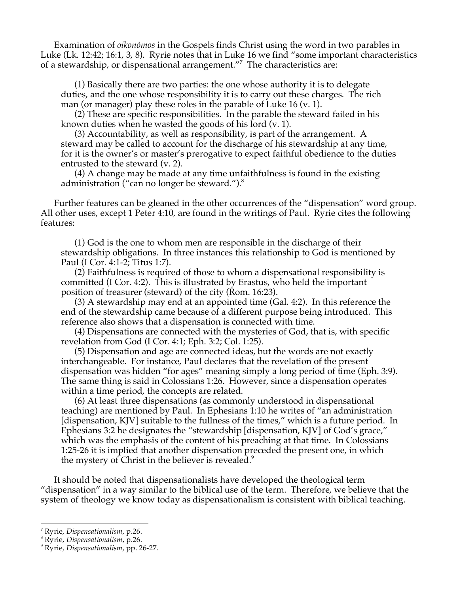Examination of *oikonómos* in the Gospels finds Christ using the word in two parables in Luke (Lk. 12:42; 16:1, 3, 8). Ryrie notes that in Luke 16 we find "some important characteristics of a stewardship, or dispensational arrangement."<sup>7</sup> The characteristics are:

(1) Basically there are two parties: the one whose authority it is to delegate duties, and the one whose responsibility it is to carry out these charges. The rich man (or manager) play these roles in the parable of Luke 16 (v. 1).

(2) These are specific responsibilities. In the parable the steward failed in his known duties when he wasted the goods of his lord (v. 1).

(3) Accountability, as well as responsibility, is part of the arrangement. A steward may be called to account for the discharge of his stewardship at any time, for it is the owner's or master's prerogative to expect faithful obedience to the duties entrusted to the steward (v. 2).

(4) A change may be made at any time unfaithfulness is found in the existing administration ("can no longer be steward.").<sup>8</sup>

Further features can be gleaned in the other occurrences of the "dispensation" word group. All other uses, except 1 Peter 4:10, are found in the writings of Paul. Ryrie cites the following features:

(1) God is the one to whom men are responsible in the discharge of their stewardship obligations. In three instances this relationship to God is mentioned by Paul (I Cor. 4:1-2; Titus 1:7).

(2) Faithfulness is required of those to whom a dispensational responsibility is committed (I Cor. 4:2). This is illustrated by Erastus, who held the important position of treasurer (steward) of the city (Rom. 16:23).

(3) A stewardship may end at an appointed time (Gal. 4:2). In this reference the end of the stewardship came because of a different purpose being introduced. This reference also shows that a dispensation is connected with time.

(4) Dispensations are connected with the mysteries of God, that is, with specific revelation from God (I Cor. 4:1; Eph. 3:2; Col. 1:25).

(5) Dispensation and age are connected ideas, but the words are not exactly interchangeable. For instance, Paul declares that the revelation of the present dispensation was hidden "for ages" meaning simply a long period of time (Eph. 3:9). The same thing is said in Colossians 1:26. However, since a dispensation operates within a time period, the concepts are related.

(6) At least three dispensations (as commonly understood in dispensational teaching) are mentioned by Paul. In Ephesians 1:10 he writes of "an administration [dispensation, KJV] suitable to the fullness of the times," which is a future period. In Ephesians 3:2 he designates the "stewardship [dispensation, KJV] of God's grace," which was the emphasis of the content of his preaching at that time. In Colossians 1:25-26 it is implied that another dispensation preceded the present one, in which the mystery of Christ in the believer is revealed.<sup>9</sup>

It should be noted that dispensationalists have developed the theological term "dispensation" in a way similar to the biblical use of the term. Therefore, we believe that the system of theology we know today as dispensationalism is consistent with biblical teaching.

<sup>7</sup> Ryrie, *Dispensationalism*, p.26. <sup>8</sup> Ryrie, *Dispensationalism*, p.26. <sup>9</sup> Ryrie, *Dispensationalism*, pp. 26-27.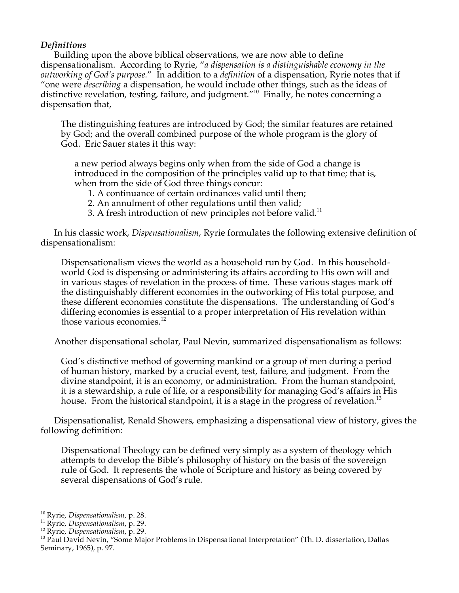# *Definitions*

Building upon the above biblical observations, we are now able to define dispensationalism. According to Ryrie, "*a dispensation is a distinguishable economy in the outworking of God's purpose.*" In addition to a *definition* of a dispensation, Ryrie notes that if "one were *describing* a dispensation, he would include other things, such as the ideas of distinctive revelation, testing, failure, and judgment."<sup>10</sup> Finally, he notes concerning a dispensation that,

The distinguishing features are introduced by God; the similar features are retained by God; and the overall combined purpose of the whole program is the glory of God. Eric Sauer states it this way:

a new period always begins only when from the side of God a change is introduced in the composition of the principles valid up to that time; that is, when from the side of God three things concur:

- 1. A continuance of certain ordinances valid until then;
- 2. An annulment of other regulations until then valid;
- 3. A fresh introduction of new principles not before valid.<sup>11</sup>

In his classic work, *Dispensationalism*, Ryrie formulates the following extensive definition of dispensationalism:

Dispensationalism views the world as a household run by God. In this householdworld God is dispensing or administering its affairs according to His own will and in various stages of revelation in the process of time. These various stages mark off the distinguishably different economies in the outworking of His total purpose, and these different economies constitute the dispensations. The understanding of God's differing economies is essential to a proper interpretation of His revelation within those various economies. 12

Another dispensational scholar, Paul Nevin, summarized dispensationalism as follows:

God's distinctive method of governing mankind or a group of men during a period of human history, marked by a crucial event, test, failure, and judgment. From the divine standpoint, it is an economy, or administration. From the human standpoint, it is a stewardship, a rule of life, or a responsibility for managing God's affairs in His house. From the historical standpoint, it is a stage in the progress of revelation.<sup>13</sup>

Dispensationalist, Renald Showers, emphasizing a dispensational view of history, gives the following definition:

Dispensational Theology can be defined very simply as a system of theology which attempts to develop the Bible's philosophy of history on the basis of the sovereign rule of God. It represents the whole of Scripture and history as being covered by several dispensations of God's rule.

<sup>&</sup>lt;sup>10</sup> Ryrie, Dispensationalism, p. 28.<br><sup>11</sup> Ryrie, Dispensationalism, p. 29.<br><sup>12</sup> Ryrie, Dispensationalism, p. 29.<br><sup>12</sup> Paul David Nevin, "Some Major Problems in Dispensational Interpretation" (Th. D. dissertation, Dallas Seminary, 1965), p. 97.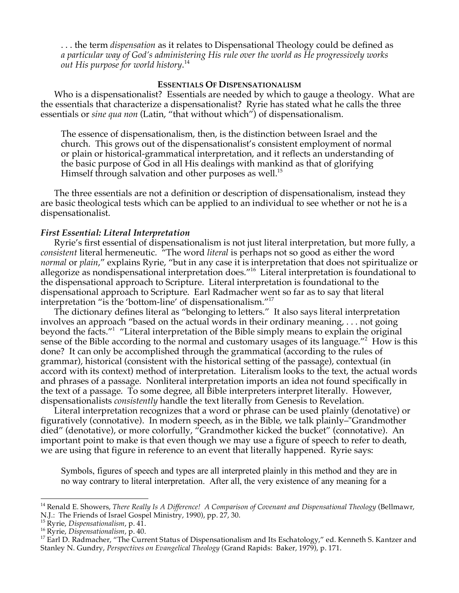. . . the term *dispensation* as it relates to Dispensational Theology could be defined as *a particular way of God's administering His rule over the world as He progressively works out His purpose for world history*. 14

### **ESSENTIALS OF DISPENSATIONALISM**

Who is a dispensationalist? Essentials are needed by which to gauge a theology. What are the essentials that characterize a dispensationalist? Ryrie has stated what he calls the three essentials or *sine qua non* (Latin, "that without which") of dispensationalism.

The essence of dispensationalism, then, is the distinction between Israel and the church. This grows out of the dispensationalist's consistent employment of normal or plain or historical-grammatical interpretation, and it reflects an understanding of the basic purpose of God in all His dealings with mankind as that of glorifying Himself through salvation and other purposes as well.<sup>15</sup>

The three essentials are not a definition or description of dispensationalism, instead they are basic theological tests which can be applied to an individual to see whether or not he is a dispensationalist.

#### *First Essential: Literal Interpretation*

Ryrie's first essential of dispensationalism is not just literal interpretation, but more fully, a *consistent* literal hermeneutic. "The word *literal* is perhaps not so good as either the word *normal* or *plain*," explains Ryrie, "but in any case it is interpretation that does not spiritualize or allegorize as nondispensational interpretation does."16 Literal interpretation is foundational to the dispensational approach to Scripture. Literal interpretation is foundational to the dispensational approach to Scripture. Earl Radmacher went so far as to say that literal interpretation "is the 'bottom-line' of dispensationalism."17

The dictionary defines literal as "belonging to letters." It also says literal interpretation involves an approach "based on the actual words in their ordinary meaning, . . . not going beyond the facts."1 "Literal interpretation of the Bible simply means to explain the original sense of the Bible according to the normal and customary usages of its language.<sup>"2</sup> How is this done? It can only be accomplished through the grammatical (according to the rules of grammar), historical (consistent with the historical setting of the passage), contextual (in accord with its context) method of interpretation. Literalism looks to the text, the actual words and phrases of a passage. Nonliteral interpretation imports an idea not found specifically in the text of a passage. To some degree, all Bible interpreters interpret literally. However, dispensationalists *consistently* handle the text literally from Genesis to Revelation.

Literal interpretation recognizes that a word or phrase can be used plainly (denotative) or figuratively (connotative). In modern speech, as in the Bible, we talk plainly–"Grandmother died" (denotative), or more colorfully, "Grandmother kicked the bucket" (connotative). An important point to make is that even though we may use a figure of speech to refer to death, we are using that figure in reference to an event that literally happened. Ryrie says:

Symbols, figures of speech and types are all interpreted plainly in this method and they are in no way contrary to literal interpretation. After all, the very existence of any meaning for a

 <sup>14</sup> Renald E. Showers, *There Really Is <sup>A</sup> Difference! <sup>A</sup> Comparison of Covenant and Dispensational Theology* (Bellmawr, N.J.: The Friends of Israel Gospel Ministry, 1990), pp. 27, 30.<br><sup>15</sup> Ryrie, *Dispensationalism*, p. 41.<br><sup>16</sup> Ryrie, *Dispensationalism*, p. 40.<br><sup>17</sup> Earl D. Radmacher, "The Current Status of Dispensationalism and Its Escha

Stanley N. Gundry, *Perspectives on Evangelical Theology* (Grand Rapids: Baker, 1979), p. 171.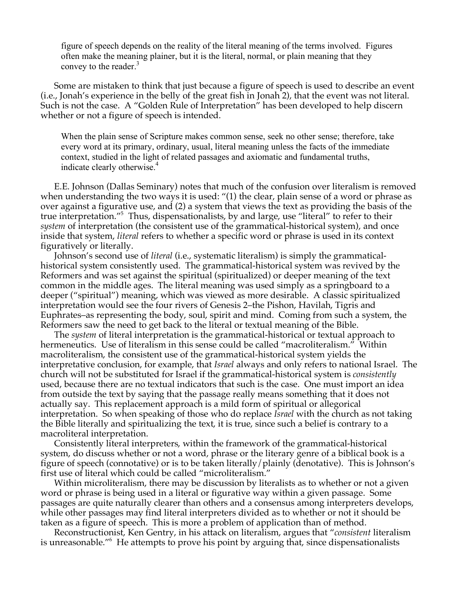figure of speech depends on the reality of the literal meaning of the terms involved. Figures often make the meaning plainer, but it is the literal, normal, or plain meaning that they convey to the reader.<sup>3</sup>

Some are mistaken to think that just because a figure of speech is used to describe an event (i.e., Jonah's experience in the belly of the great fish in Jonah 2), that the event was not literal. Such is not the case. A "Golden Rule of Interpretation" has been developed to help discern whether or not a figure of speech is intended.

When the plain sense of Scripture makes common sense, seek no other sense; therefore, take every word at its primary, ordinary, usual, literal meaning unless the facts of the immediate context, studied in the light of related passages and axiomatic and fundamental truths, indicate clearly otherwise. 4

E.E. Johnson (Dallas Seminary) notes that much of the confusion over literalism is removed when understanding the two ways it is used: "(1) the clear, plain sense of a word or phrase as over against a figurative use, and (2) a system that views the text as providing the basis of the true interpretation."5 Thus, dispensationalists, by and large, use "literal" to refer to their *system* of interpretation (the consistent use of the grammatical-historical system), and once inside that system, *literal* refers to whether a specific word or phrase is used in its context figuratively or literally.

Johnson's second use of *literal* (i.e., systematic literalism) is simply the grammaticalhistorical system consistently used. The grammatical-historical system was revived by the Reformers and was set against the spiritual (spiritualized) or deeper meaning of the text common in the middle ages. The literal meaning was used simply as a springboard to a deeper ("spiritual") meaning, which was viewed as more desirable. A classic spiritualized interpretation would see the four rivers of Genesis 2–the Pishon, Havilah, Tigris and Euphrates–as representing the body, soul, spirit and mind. Coming from such a system, the Reformers saw the need to get back to the literal or textual meaning of the Bible.

The *system* of literal interpretation is the grammatical-historical or textual approach to hermeneutics. Use of literalism in this sense could be called "macroliteralism." Within macroliteralism, the consistent use of the grammatical-historical system yields the interpretative conclusion, for example, that *Israel* always and only refers to national Israel. The church will not be substituted for Israel if the grammatical-historical system is *consistently* used, because there are no textual indicators that such is the case. One must import an idea from outside the text by saying that the passage really means something that it does not actually say. This replacement approach is a mild form of spiritual or allegorical interpretation. So when speaking of those who do replace *Israel* with the church as not taking the Bible literally and spiritualizing the text, it is true, since such a belief is contrary to a macroliteral interpretation.

Consistently literal interpreters, within the framework of the grammatical-historical system, do discuss whether or not a word, phrase or the literary genre of a biblical book is a figure of speech (connotative) or is to be taken literally/plainly (denotative). This is Johnson's first use of literal which could be called "microliteralism."

Within microliteralism, there may be discussion by literalists as to whether or not a given word or phrase is being used in a literal or figurative way within a given passage. Some passages are quite naturally clearer than others and a consensus among interpreters develops, while other passages may find literal interpreters divided as to whether or not it should be taken as a figure of speech. This is more a problem of application than of method.

Reconstructionist, Ken Gentry, in his attack on literalism, argues that "*consistent* literalism is unreasonable."6 He attempts to prove his point by arguing that, since dispensationalists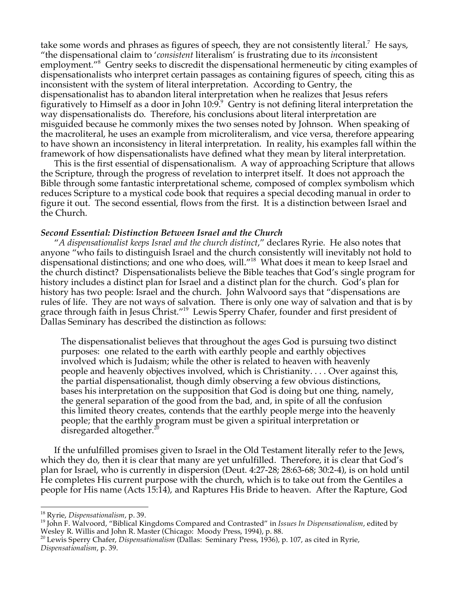take some words and phrases as figures of speech, they are not consistently literal.<sup>7</sup> He says, "the dispensational claim to '*consistent* literalism' is frustrating due to its *in*consistent employment."<sup>8</sup> Gentry seeks to discredit the dispensational hermeneutic by citing examples of dispensationalists who interpret certain passages as containing figures of speech, citing this as inconsistent with the system of literal interpretation. According to Gentry, the dispensationalist has to abandon literal interpretation when he realizes that Jesus refers figuratively to Himself as a door in John 10:9. Gentry is not defining literal interpretation the way dispensationalists do. Therefore, his conclusions about literal interpretation are misguided because he commonly mixes the two senses noted by Johnson. When speaking of the macroliteral, he uses an example from microliteralism, and vice versa, therefore appearing to have shown an inconsistency in literal interpretation. In reality, his examples fall within the framework of how dispensationalists have defined what they mean by literal interpretation.

This is the first essential of dispensationalism. A way of approaching Scripture that allows the Scripture, through the progress of revelation to interpret itself. It does not approach the Bible through some fantastic interpretational scheme, composed of complex symbolism which reduces Scripture to a mystical code book that requires a special decoding manual in order to figure it out. The second essential, flows from the first. It is a distinction between Israel and the Church.

### *Second Essential: Distinction Between Israel and the Church*

"*A dispensationalist keeps Israel and the church distinct*," declares Ryrie. He also notes that anyone "who fails to distinguish Israel and the church consistently will inevitably not hold to dispensational distinctions; and one who does, will."18 What does it mean to keep Israel and the church distinct? Dispensationalists believe the Bible teaches that God's single program for history includes a distinct plan for Israel and a distinct plan for the church. God's plan for history has two people: Israel and the church. John Walvoord says that "dispensations are rules of life. They are not ways of salvation. There is only one way of salvation and that is by grace through faith in Jesus Christ."19 Lewis Sperry Chafer, founder and first president of Dallas Seminary has described the distinction as follows:

The dispensationalist believes that throughout the ages God is pursuing two distinct purposes: one related to the earth with earthly people and earthly objectives involved which is Judaism; while the other is related to heaven with heavenly people and heavenly objectives involved, which is Christianity. . . . Over against this, the partial dispensationalist, though dimly observing a few obvious distinctions, bases his interpretation on the supposition that God is doing but one thing, namely, the general separation of the good from the bad, and, in spite of all the confusion this limited theory creates, contends that the earthly people merge into the heavenly people; that the earthly program must be given a spiritual interpretation or disregarded altogether.<sup>20</sup>

If the unfulfilled promises given to Israel in the Old Testament literally refer to the Jews, which they do, then it is clear that many are yet unfulfilled. Therefore, it is clear that God's plan for Israel, who is currently in dispersion (Deut. 4:27-28; 28:63-68; 30:2-4), is on hold until He completes His current purpose with the church, which is to take out from the Gentiles a people for His name (Acts 15:14), and Raptures His Bride to heaven. After the Rapture, God

<sup>&</sup>lt;sup>18</sup> Ryrie, *Dispensationalism*, p. 39.<br><sup>19</sup> John F. Walvoord, "Biblical Kingdoms Compared and Contrasted" in *Issues In Dispensationalism*, edited by

Wesley R. Willis and John R. Master (Chicago: Moody Press, 1994), p. 88.<br><sup>20</sup> Lewis Sperry Chafer, *Dispensationalism* (Dallas: Seminary Press, 1936), p. 107, as cited in Ryrie, *Dispensationalism*, p. 39.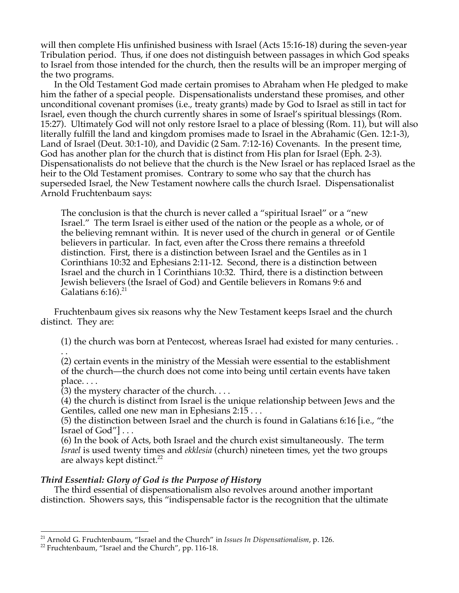will then complete His unfinished business with Israel (Acts 15:16-18) during the seven-year Tribulation period. Thus, if one does not distinguish between passages in which God speaks to Israel from those intended for the church, then the results will be an improper merging of the two programs.

In the Old Testament God made certain promises to Abraham when He pledged to make him the father of a special people. Dispensationalists understand these promises, and other unconditional covenant promises (i.e., treaty grants) made by God to Israel as still in tact for Israel, even though the church currently shares in some of Israel's spiritual blessings (Rom. 15:27). Ultimately God will not only restore Israel to a place of blessing (Rom. 11), but will also literally fulfill the land and kingdom promises made to Israel in the Abrahamic (Gen. 12:1-3), Land of Israel (Deut. 30:1-10), and Davidic (2 Sam. 7:12-16) Covenants. In the present time, God has another plan for the church that is distinct from His plan for Israel (Eph. 2-3). Dispensationalists do not believe that the church is the New Israel or has replaced Israel as the heir to the Old Testament promises. Contrary to some who say that the church has superseded Israel, the New Testament nowhere calls the church Israel. Dispensationalist Arnold Fruchtenbaum says:

The conclusion is that the church is never called a "spiritual Israel" or a "new Israel." The term Israel is either used of the nation or the people as a whole, or of the believing remnant within. It is never used of the church in general or of Gentile believers in particular. In fact, even after the Cross there remains a threefold distinction. First, there is a distinction between Israel and the Gentiles as in 1 Corinthians 10:32 and Ephesians 2:11-12. Second, there is a distinction between Israel and the church in 1 Corinthians 10:32. Third, there is a distinction between Jewish believers (the Israel of God) and Gentile believers in Romans 9:6 and Galatians 6:16).<sup>21</sup>

Fruchtenbaum gives six reasons why the New Testament keeps Israel and the church distinct. They are:

(1) the church was born at Pentecost, whereas Israel had existed for many centuries. .

(2) certain events in the ministry of the Messiah were essential to the establishment of the church—the church does not come into being until certain events have taken place. . . .

 $(3)$  the mystery character of the church...

. .

(4) the church is distinct from Israel is the unique relationship between Jews and the Gentiles, called one new man in Ephesians 2:15 . . .

(5) the distinction between Israel and the church is found in Galatians 6:16 [i.e., "the Israel of God"] . . .

(6) In the book of Acts, both Israel and the church exist simultaneously. The term *Israel* is used twenty times and *ekklesia* (church) nineteen times, yet the two groups are always kept distinct. 22

### *Third Essential: Glory of God is the Purpose of History*

The third essential of dispensationalism also revolves around another important distinction. Showers says, this "indispensable factor is the recognition that the ultimate

<sup>&</sup>lt;sup>21</sup> Arnold G. Fruchtenbaum, "Israel and the Church" in *Issues In Dispensationalism*, p. 126.<br><sup>22</sup> Fruchtenbaum, "Israel and the Church", pp. 116-18.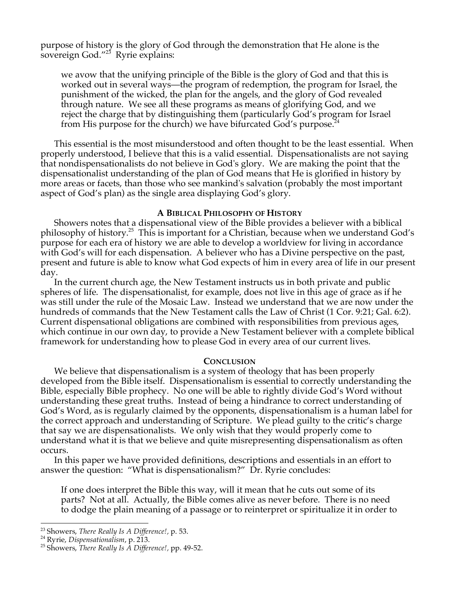purpose of history is the glory of God through the demonstration that He alone is the sovereign God."<sup>23</sup> Ryrie explains:

we avow that the unifying principle of the Bible is the glory of God and that this is worked out in several ways—the program of redemption, the program for Israel, the punishment of the wicked, the plan for the angels, and the glory of God revealed through nature. We see all these programs as means of glorifying God, and we reject the charge that by distinguishing them (particularly God's program for Israel from His purpose for the church) we have bifurcated God's purpose.<sup>24</sup>

This essential is the most misunderstood and often thought to be the least essential. When properly understood, I believe that this is a valid essential. Dispensationalists are not saying that nondispensationalists do not believe in God's glory. We are making the point that the dispensationalist understanding of the plan of God means that He is glorified in history by more areas or facets, than those who see mankind's salvation (probably the most important aspect of God's plan) as the single area displaying God's glory.

### **A BIBLICAL PHILOSOPHY OF HISTORY**

Showers notes that a dispensational view of the Bible provides a believer with a biblical philosophy of history.<sup>25</sup> This is important for a Christian, because when we understand God's purpose for each era of history we are able to develop a worldview for living in accordance with God's will for each dispensation. A believer who has a Divine perspective on the past, present and future is able to know what God expects of him in every area of life in our present day.

In the current church age, the New Testament instructs us in both private and public spheres of life. The dispensationalist, for example, does not live in this age of grace as if he was still under the rule of the Mosaic Law. Instead we understand that we are now under the hundreds of commands that the New Testament calls the Law of Christ (1 Cor. 9:21; Gal. 6:2). Current dispensational obligations are combined with responsibilities from previous ages, which continue in our own day, to provide a New Testament believer with a complete biblical framework for understanding how to please God in every area of our current lives.

### **CONCLUSION**

We believe that dispensationalism is a system of theology that has been properly developed from the Bible itself. Dispensationalism is essential to correctly understanding the Bible, especially Bible prophecy. No one will be able to rightly divide God's Word without understanding these great truths. Instead of being a hindrance to correct understanding of God's Word, as is regularly claimed by the opponents, dispensationalism is a human label for the correct approach and understanding of Scripture. We plead guilty to the critic's charge that say we are dispensationalists. We only wish that they would properly come to understand what it is that we believe and quite misrepresenting dispensationalism as often occurs.

In this paper we have provided definitions, descriptions and essentials in an effort to answer the question: "What is dispensationalism?" Dr. Ryrie concludes:

If one does interpret the Bible this way, will it mean that he cuts out some of its parts? Not at all. Actually, the Bible comes alive as never before. There is no need to dodge the plain meaning of a passage or to reinterpret or spiritualize it in order to

<sup>23</sup> Showers, *There Really Is <sup>A</sup> Difference!,* p. 53. <sup>24</sup> Ryrie, *Dispensationalism*, p. 213. <sup>25</sup> Showers, *There Really Is <sup>A</sup> Difference!,* pp. 49-52.